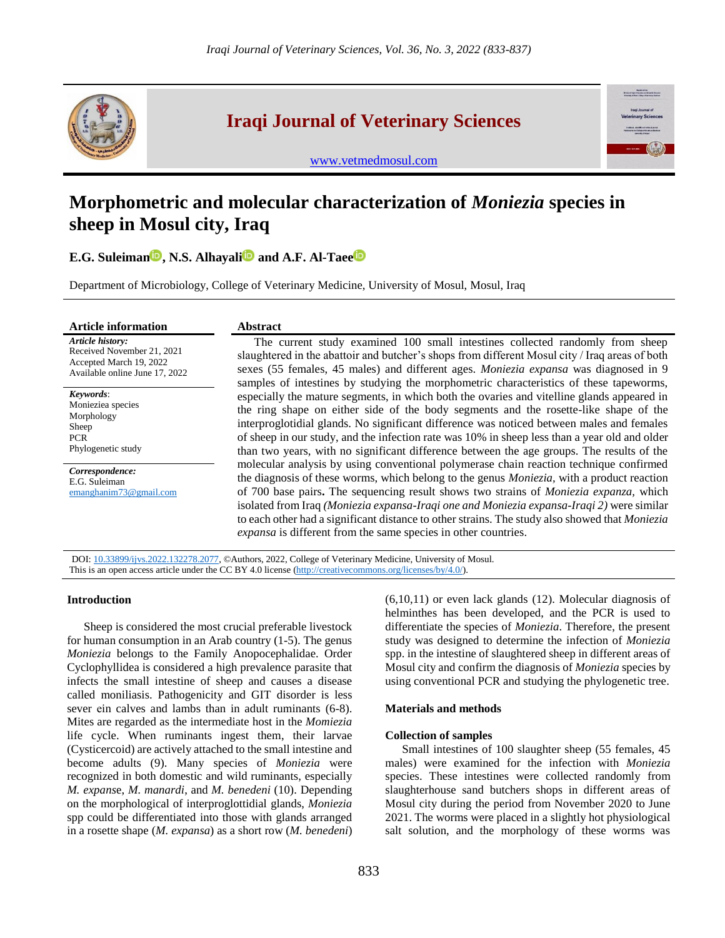

## **Iraqi Journal of Veterinary Sciences**



[www.vetmedmosul.com](http://www.vetmedmosul.com/)

# **Morphometric and molecular characterization of** *Moniezia* **species in sheep in Mosul city, Iraq**

**E.G. Suleiman<sup>D</sup>, N.S. Alhayali<sup>D</sup> and A.F. Al-Taee<sup>D</sup>** 

Department of Microbiology, College of Veterinary Medicine, University of Mosul, Mosul, Iraq

#### **Article information Abstract**

#### *Article history:* Received November 21, 2021 Accepted March 19, 2022 Available online June 17, 2022

*Keywords*: Monieziea species Morphology Sheep PCR

Phylogenetic study

*Correspondence:* E.G. Suleiman [emanghanim73@gmail.com](mailto:emanghanim73@gmail.com)

The current study examined 100 small intestines collected randomly from sheep slaughtered in the abattoir and butcher's shops from different Mosul city / Iraq areas of both sexes (55 females, 45 males) and different ages. *Moniezia expansa* was diagnosed in 9 samples of intestines by studying the morphometric characteristics of these tapeworms, especially the mature segments, in which both the ovaries and vitelline glands appeared in the ring shape on either side of the body segments and the rosette-like shape of the interproglotidial glands. No significant difference was noticed between males and females of sheep in our study, and the infection rate was 10% in sheep less than a year old and older than two years, with no significant difference between the age groups. The results of the molecular analysis by using conventional polymerase chain reaction technique confirmed the diagnosis of these worms, which belong to the genus *Moniezia,* with a product reaction of 700 base pairs**.** The sequencing result shows two strains of *Moniezia expanza,* which isolated from Iraq *(Moniezia expansa-Iraqi one and Moniezia expansa-Iraqi 2)* were similar to each other had a significant distance to other strains. The study also showed that *Moniezia expansa* is different from the same species in other countries.

DOI: [10.33899/ijvs.2022.132278.2077,](https://vetmedmosul.com/article_173275.html) ©Authors, 2022, College of Veterinary Medicine, University of Mosul. This is an open access article under the CC BY 4.0 license [\(http://creativecommons.org/licenses/by/4.0/\)](http://creativecommons.org/licenses/by/4.0/).

#### **Introduction**

Sheep is considered the most crucial preferable livestock for human consumption in an Arab country (1-5). The genus *Moniezia* belongs to the Family Anopocephalidae. Order Cyclophyllidea is considered a high prevalence parasite that infects the small intestine of sheep and causes a disease called moniliasis. Pathogenicity and GIT disorder is less sever ein calves and lambs than in adult ruminants (6-8). Mites are regarded as the intermediate host in the *Momiezia* life cycle. When ruminants ingest them, their larvae (Cysticercoid) are actively attached to the small intestine and become adults (9). Many species of *Moniezia* were recognized in both domestic and wild ruminants, especially *M. expans*e, *M. manardi*, and *M. benedeni* (10). Depending on the morphological of interproglottidial glands, *Moniezia*  spp could be differentiated into those with glands arranged in a rosette shape (*M. expansa*) as a short row (*M. benedeni*)

(6,10,11) or even lack glands (12). Molecular diagnosis of helminthes has been developed, and the PCR is used to differentiate the species of *Moniezia*. Therefore, the present study was designed to determine the infection of *Moniezia*  spp. in the intestine of slaughtered sheep in different areas of Mosul city and confirm the diagnosis of *Moniezia* species by using conventional PCR and studying the phylogenetic tree.

#### **Materials and methods**

### **Collection of samples**

Small intestines of 100 slaughter sheep (55 females, 45 males) were examined for the infection with *Moniezia* species. These intestines were collected randomly from slaughterhouse sand butchers shops in different areas of Mosul city during the period from November 2020 to June 2021. The worms were placed in a slightly hot physiological salt solution, and the morphology of these worms was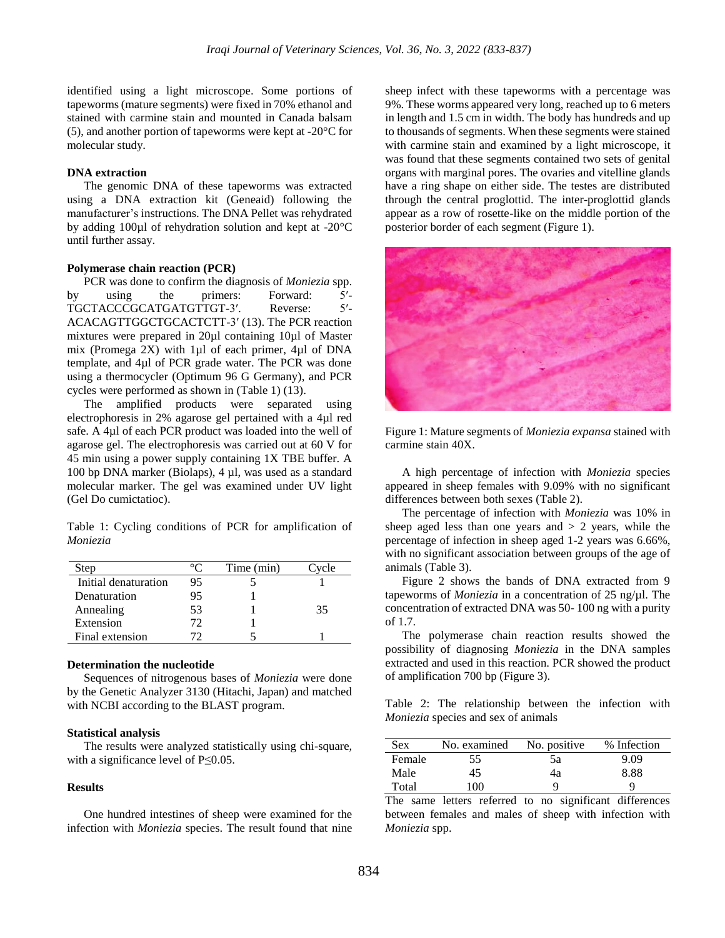identified using a light microscope. Some portions of tapeworms (mature segments) were fixed in 70% ethanol and stained with carmine stain and mounted in Canada balsam (5), and another portion of tapeworms were kept at -20°C for molecular study.

#### **DNA extraction**

The genomic DNA of these tapeworms was extracted using a DNA extraction kit (Geneaid) following the manufacturer's instructions. The DNA Pellet was rehydrated by adding 100µl of rehydration solution and kept at -20°C until further assay.

#### **Polymerase chain reaction (PCR)**

PCR was done to confirm the diagnosis of *Moniezia* spp. by using the primers: Forward: 5′- TGCTACCCGCATGATGTTGT-3′. Reverse: 5′- ACACAGTTGGCTGCACTCTT-3′ (13). The PCR reaction mixtures were prepared in 20µl containing 10µl of Master mix (Promega 2X) with 1µl of each primer, 4µl of DNA template, and 4µl of PCR grade water. The PCR was done using a thermocycler (Optimum 96 G Germany), and PCR cycles were performed as shown in (Table 1) (13).

The amplified products were separated using electrophoresis in 2% agarose gel pertained with a 4µl red safe. A 4µl of each PCR product was loaded into the well of agarose gel. The electrophoresis was carried out at 60 V for 45 min using a power supply containing 1X TBE buffer. A 100 bp DNA marker (Biolaps), 4 µl, was used as a standard molecular marker. The gel was examined under UV light (Gel Do cumictatioc).

Table 1: Cycling conditions of PCR for amplification of *Moniezia*

| Step                 | ്        | Time (min) | Cvcle |
|----------------------|----------|------------|-------|
| Initial denaturation | 95       |            |       |
| Denaturation         | 95       |            |       |
| Annealing            | 53       |            | 35    |
| Extension            | 72       |            |       |
| Final extension      | $\Gamma$ |            |       |

#### **Determination the nucleotide**

Sequences of nitrogenous bases of *Moniezia* were done by the Genetic Analyzer 3130 (Hitachi, Japan) and matched with NCBI according to the BLAST program.

#### **Statistical analysis**

The results were analyzed statistically using chi-square, with a significance level of P≤0.05.

#### **Results**

One hundred intestines of sheep were examined for the infection with *Moniezia* species. The result found that nine

sheep infect with these tapeworms with a percentage was 9%. These worms appeared very long, reached up to 6 meters in length and 1.5 cm in width. The body has hundreds and up to thousands of segments. When these segments were stained with carmine stain and examined by a light microscope, it was found that these segments contained two sets of genital organs with marginal pores. The ovaries and vitelline glands have a ring shape on either side. The testes are distributed through the central proglottid. The inter-proglottid glands appear as a row of rosette-like on the middle portion of the posterior border of each segment (Figure 1).



Figure 1: Mature segments of *Moniezia expansa* stained with carmine stain 40X.

A high percentage of infection with *Moniezia* species appeared in sheep females with 9.09% with no significant differences between both sexes (Table 2).

The percentage of infection with *Moniezia* was 10% in sheep aged less than one years and  $> 2$  years, while the percentage of infection in sheep aged 1-2 years was 6.66%, with no significant association between groups of the age of animals (Table 3).

Figure 2 shows the bands of DNA extracted from 9 tapeworms of *Moniezia* in a concentration of 25 ng/µl. The concentration of extracted DNA was 50- 100 ng with a purity of 1.7.

The polymerase chain reaction results showed the possibility of diagnosing *Moniezia* in the DNA samples extracted and used in this reaction. PCR showed the product of amplification 700 bp (Figure 3).

Table 2: The relationship between the infection with *Moniezia* species and sex of animals

| <b>Sex</b> | No. examined | No. positive | % Infection |
|------------|--------------|--------------|-------------|
| Female     | 55           | 5a           | 9.09        |
| Male       | 45           | 4a           | 8.88        |
| Total      | 100          | O            |             |

The same letters referred to no significant differences between females and males of sheep with infection with *Moniezia* spp.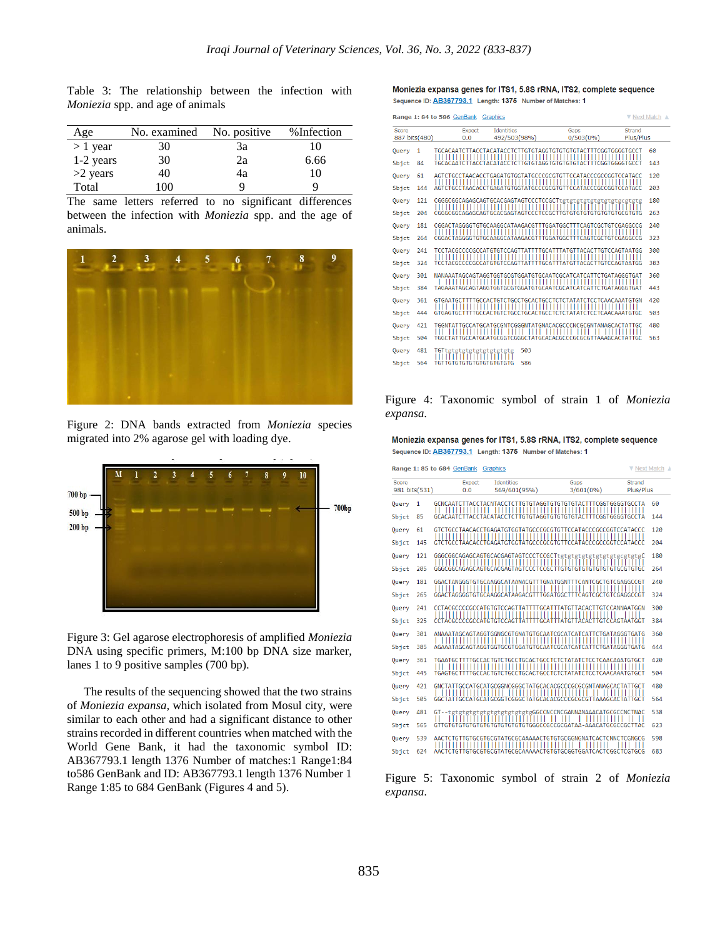Table 3: The relationship between the infection with *Moniezia* spp. and age of animals

| Age        | No. examined | No. positive | % Infection |
|------------|--------------|--------------|-------------|
| $> 1$ year | 30           | 3a           | 10          |
| 1-2 years  | 30           | 2a           | 6.66        |
| $>2$ years | 40           | 4a           | 10          |
| Total      | 100          | q            | u           |

The same letters referred to no significant differences between the infection with *Moniezia* spp. and the age of animals.



Figure 2: DNA bands extracted from *Moniezia* species migrated into 2% agarose gel with loading dye.



Figure 3: Gel agarose electrophoresis of amplified *Moniezia* DNA using specific primers, M:100 bp DNA size marker, lanes 1 to 9 positive samples (700 bp).

The results of the sequencing showed that the two strains of *Moniezia expansa,* which isolated from Mosul city, were similar to each other and had a significant distance to other strains recorded in different countries when matched with the World Gene Bank, it had the taxonomic symbol ID: AB367793.1 length 1376 Number of matches:1 Range1:84 to586 GenBank and ID: AB367793.1 length 1376 Number 1 Range 1:85 to 684 GenBank (Figures 4 and 5).

#### Moniezia expansa genes for ITS1, 5.8S rRNA, ITS2, complete sequence Sequence ID: AB367793.1 Length: 1375 Number of Matches: 1

| Range 1: 84 to 586 GenBank<br>Graphics |                |                           |                                                                                                                                                                                 |                        | ▼ Next Match ▲ |
|----------------------------------------|----------------|---------------------------|---------------------------------------------------------------------------------------------------------------------------------------------------------------------------------|------------------------|----------------|
| Score                                  |                | <b>Expect</b>             | <b>Identities</b>                                                                                                                                                               | Gaps                   | Strand         |
|                                        | 887 bits (480) | 0.0                       | 492/503(98%)                                                                                                                                                                    | $0/503(0\%)$           | Plus/Plus      |
| Query                                  | 1              |                           |                                                                                                                                                                                 |                        | 60             |
| Sbjct                                  | 84             |                           |                                                                                                                                                                                 | <b>TTCGGTGGGGTGCCT</b> | 143            |
| Query                                  | 61             |                           | AGTCTGCCTAACACCTGAGATGTGGTATGCCCGCGTGTTCCATACCCGCCGGTCCATACC                                                                                                                    |                        | 120            |
| Sbjct                                  | 144            |                           | AGTCTGCCTAACACCTGAGATGTGGTATGCCCGCGTGTTCCATACCCGCCGGTCCATACC                                                                                                                    |                        | 203            |
| Query                                  | 121            |                           | CGGGCGGCAGAGCAGTGCACGAGTAGTCCCTCCGCTtgtgtgtgtgtgtgtgtgcgtgtg                                                                                                                    |                        | 180            |
| Sbict                                  | 204            |                           |                                                                                                                                                                                 |                        | 263            |
| Query                                  | 181            |                           | CGGACTAGGGGTGTGCAAGGCATAAGACGTTTGGATGGCTTTCAGTCGCTGTCGAGGCCG<br>,,,,,,,,,,,,,,,,,,,,,,,,,,,,,,,,,,                                                                              | ,,,,,,,,,,,,,,,,,,     | 240            |
| Sbjct                                  | 264            |                           | CGGACTAGGGGTGTGCAAGGCATAAGACGTTTGGATGGCTTTCAGTCGCTGTCGAGGCCG                                                                                                                    |                        | 323            |
| Query                                  | 241            |                           | TCCTACGCCCCCCCATGTGTCCAGTTATTTTGCATTTATGTTACACTTGTCCAGTAATGG                                                                                                                    |                        | 300            |
| Sbjct                                  | 324            |                           | TCCTACGCCCCGCCATGTGTCCAGTTATTTTGCATTTATGTTACACTTGTCCAGTAATGG                                                                                                                    |                        | 383            |
| Query                                  | 301            |                           | NANAAATAGCAGTAGGTGGTGCGTGGATGTGCAATCGCATCATCATTCTGATAGGGTGAT                                                                                                                    |                        | 360            |
| Sbict                                  | 384            |                           | TAGAAATAGCAGTAGGTGGTGCGTGGATGTGCAATCGCATCATCCTGATAGGGTGAT                                                                                                                       |                        | 443            |
| Query                                  | 361            |                           | GTGAATGCTTTTGCCACTGTCTGCCTGCACTGCCTCTCTATATCTCCTCAACAAATGTGN                                                                                                                    |                        | 420            |
| Sbict                                  | 444            |                           | $\frac{1}{1}$ $\frac{1}{1}$ $\frac{1}{1}$ $\frac{1}{1}$ $\frac{1}{1}$ $\frac{1}{1}$ $\frac{1}{1}$ $\frac{1}{1}$<br>GTGAGTGCTTTTGCCACTGTCTGCCTGCACTGCCTCTCTATATCTCCTCAACAAATGTGC |                        | 503            |
| Query                                  | 421            |                           | TGGNTATTGCCATGCATGCGNTCGGGNTATGNACACGCCCNCGCGNTANAGCACTATTGC                                                                                                                    |                        | 480            |
| Sbict                                  | 504            |                           | Ш<br>Ш<br>$\frac{1}{2}$<br>TGGCTATTGCCATGCATGCGGTCGGCTATGCACACGCCCGCGCGTTAAAGCACTATTGC                                                                                          |                        | 563            |
| <b>Query</b>                           | 481            | TGTtgtgtgtgtgtgtgtgtgtg   | 503                                                                                                                                                                             |                        |                |
| Sbict                                  | 564            | TGTTGTGTGTGTGTGTGTGTGTGTG | 586                                                                                                                                                                             |                        |                |
|                                        |                |                           |                                                                                                                                                                                 |                        |                |

Figure 4: Taxonomic symbol of strain 1 of *Moniezia expansa.*

Moniezia expansa genes for ITS1, 5.8S rRNA, ITS2, complete sequence Sequence ID: AB367793.1 Length: 1375 Number of Matches: 1

| Range 1: 85 to 684 GenBank Graphics<br>▼ Next Match |     |                      |                                        |                                                                             |                            |     |
|-----------------------------------------------------|-----|----------------------|----------------------------------------|-----------------------------------------------------------------------------|----------------------------|-----|
| Score<br>981 bits(531)                              |     | <b>Expect</b><br>0.0 | <b>Identities</b><br>569/601(95%)      | Gaps<br>3/601(0%)                                                           | <b>Strand</b><br>Plus/Plus |     |
| Query                                               | 1   |                      |                                        | GCNCAATCTTACCTACNTACCTCTTGTGTAGGTGTGTGTGTACTTTCGGTGGGGTGCCTA                |                            | 60  |
| Sbjct                                               | 85  |                      |                                        |                                                                             |                            | 144 |
| Query                                               | 61  |                      | ,,,,,,,,,,,,,,,,,,,,,,,,,,,,,,,,,,,,,, | GTCTGCCTAACACCTGAGATGTGGTATGCCCGCGTGTTCCATACCCGCCGGTCCATACCC<br>Ш           |                            | 120 |
| Sbict                                               | 145 |                      |                                        | GTCTGCCTAACACCTGAGATGTGGTATGCCCGCGTGTTCCATACCCGCCGGTCCATACCC                |                            | 204 |
| Query                                               | 121 |                      |                                        | GGGCGGCAGAGCAGTGCACGAGTAGTCCCTCCGCTtgtgtgtgtgtgtgtgtgcgtgtg                 |                            | 180 |
| Sbjct                                               | 205 |                      |                                        |                                                                             |                            | 264 |
| Query                                               | 181 |                      |                                        | GGACTANGGGTGTGCAAGGCATAANACGTTTGNATGGNTTTCANTCGCTGTCGAGGCCGT                |                            | 240 |
| Sbjct                                               | 265 |                      |                                        | GGACTAGGGGTGTGCAAGGCATAAGACGTTTGGATGGCTTTCAGTCGCTGTCGAGGCCGT                |                            | 324 |
| Query                                               | 241 |                      |                                        | CCTACGCCCCGCCATGTGTCCAGTTATTTTGCATTTATGTTACACTTGTCCANNAATGGN                |                            | 300 |
| Sbict                                               | 325 |                      |                                        | CCTACGCCCCGCCATGTGTCCAGTTATTTTGCATTTATGTTACACTTGTCCAGTAATGGT                |                            | 384 |
| Query                                               | 301 | ,,,,,,,,,,,,,,,,     | $\overline{11111}$                     | ANAAATAGCAGTAGGTGGNGCGTGNATGTGCAATCGCATCATCATTCTGATAGGGTGATG                |                            | 360 |
| Sbjct                                               | 385 |                      |                                        | AGAAATAGCAGTAGGTGGTGCGTGGATGTGCAATCGCATCATCATTCTGATAGGGTGATG                |                            | 444 |
| Query                                               | 361 | Ш                    |                                        | TGAATGCTTTTGCCACTGTCTGCCTGCACTGCCTCTCTATATCTCCTCAACAAATGTGCT                |                            | 420 |
| Sbjct                                               | 445 |                      |                                        | TGAGTGCTTTTGCCACTGTCTGCCTGCACTGCCTCTCTATATCTCCTCAACAAATGTGCT                |                            | 504 |
| Query                                               | 421 | ,,,,,,,,,,,,,        | ,,,,,,,,,,,,,,,,,,                     | GNCTATTGCCATGCATGCGGNCGGGCTATGCACACGCCCGCGCGNTANAGCACTATTGCT                |                            | 480 |
| Sbjct                                               | 505 |                      |                                        | GGCTATTGCCATGCATGCGGTCGGGCTATGCACACGCCCGCGCGTTAAAGCACTATTGCT                |                            | 564 |
| Query                                               | 481 |                      | 1111111 11 111                         | GT--tgtgtgtgtgtgtgtgtgtgtgtgtgGGCCNCCNCGANNANAAACATGCGCCNCTNAC<br>,,,,,,,,, |                            | 538 |
| Sbjct                                               | 565 |                      |                                        | GTTGTGTGTGTGTGTGTGTGTGTGTGTGGGCCGCCGCGATAA-AAACATGCGCCGCTTAC                |                            | 623 |
| Query                                               | 539 |                      | ,,,,,,,,,,,,,,,,,,,,,,,,,,,            | AACTCTGTTGTGCGTGCGTATGCGCAAAAACTGTGTGCGGNGNATCACTCNNCTCGNGCG                |                            | 598 |
| Sbict                                               | 624 |                      |                                        | AACTCTGTTGTGCGTGCGTATGCGCAAAAACTGTGTGCGGTGGATCACTCGGCTCGTGCG                |                            | 683 |

Figure 5: Taxonomic symbol of strain 2 of *Moniezia expansa.*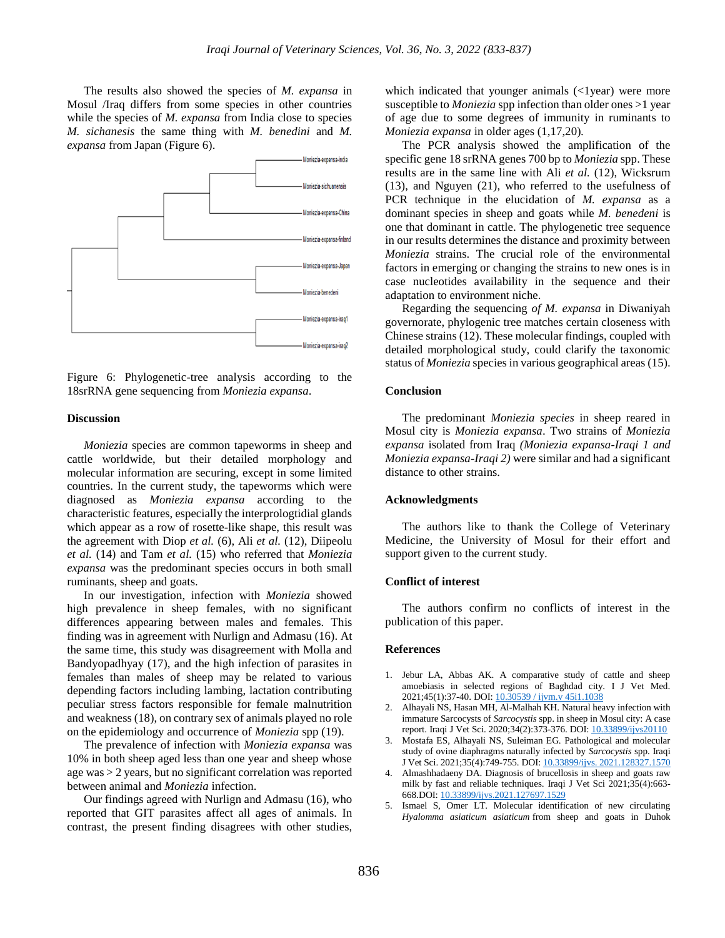The results also showed the species of *M. expansa* in Mosul /Iraq differs from some species in other countries while the species of *M. expansa* from India close to species *M. sichanesis* the same thing with *M. benedini* and *M. expansa* from Japan (Figure 6).



Figure 6: Phylogenetic-tree analysis according to the 18srRNA gene sequencing from *Moniezia expansa*.

#### **Discussion**

*Moniezia* species are common tapeworms in sheep and cattle worldwide, but their detailed morphology and molecular information are securing, except in some limited countries. In the current study, the tapeworms which were diagnosed as *Moniezia expansa* according to the characteristic features, especially the interprologtidial glands which appear as a row of rosette-like shape, this result was the agreement with Diop *et al.* (6), Ali *et al.* (12), Diipeolu *et al.* (14) and Tam *et al.* (15) who referred that *Moniezia expansa* was the predominant species occurs in both small ruminants, sheep and goats.

In our investigation, infection with *Moniezia* showed high prevalence in sheep females, with no significant differences appearing between males and females. This finding was in agreement with Nurlign and Admasu (16). At the same time, this study was disagreement with Molla and Bandyopadhyay (17), and the high infection of parasites in females than males of sheep may be related to various depending factors including lambing, lactation contributing peculiar stress factors responsible for female malnutrition and weakness (18), on contrary sex of animals played no role on the epidemiology and occurrence of *Moniezia* spp (19).

The prevalence of infection with *Moniezia expansa* was 10% in both sheep aged less than one year and sheep whose age was > 2 years, but no significant correlation was reported between animal and *Moniezia* infection.

Our findings agreed with Nurlign and Admasu (16), who reported that GIT parasites affect all ages of animals. In contrast, the present finding disagrees with other studies,

which indicated that younger animals  $\left\langle \text{1year} \right\rangle$  were more susceptible to *Moniezia* spp infection than older ones >1 year of age due to some degrees of immunity in ruminants to *Moniezia expansa* in older ages (1,17,20)*.*

The PCR analysis showed the amplification of the specific gene 18 srRNA genes 700 bp to *Moniezia* spp. These results are in the same line with Ali *et al.* (12), Wicksrum (13), and Nguyen (21), who referred to the usefulness of PCR technique in the elucidation of *M. expansa* as a dominant species in sheep and goats while *M. benedeni* is one that dominant in cattle. The phylogenetic tree sequence in our results determines the distance and proximity between *Moniezia* strains. The crucial role of the environmental factors in emerging or changing the strains to new ones is in case nucleotides availability in the sequence and their adaptation to environment niche.

Regarding the sequencing *of M. expansa* in Diwaniyah governorate, phylogenic tree matches certain closeness with Chinese strains (12). These molecular findings, coupled with detailed morphological study, could clarify the taxonomic status of *Moniezia* species in various geographical areas (15).

#### **Conclusion**

The predominant *Moniezia species* in sheep reared in Mosul city is *Moniezia expansa*. Two strains of *Moniezia expansa* isolated from Iraq *(Moniezia expansa-Iraqi 1 and Moniezia expansa-Iraqi 2)* were similar and had a significant distance to other strains.

#### **Acknowledgments**

The authors like to thank the College of Veterinary Medicine, the University of Mosul for their effort and support given to the current study.

#### **Conflict of interest**

The authors confirm no conflicts of interest in the publication of this paper.

#### **References**

- 1. Jebur LA, Abbas AK. A comparative study of cattle and sheep amoebiasis in selected regions of Baghdad city. I J Vet Med. 2021;45(1):37-40. DOI[: 10.30539 / ijvm.v 45i1.1038](http://doi.org/%2010.30539%20/%20ijvm.v%2045i1.1038)
- 2. Alhayali NS, Hasan MH, Al-Malhah KH. Natural heavy infection with immature Sarcocysts of *Sarcocystis* spp. in sheep in Mosul city: A case report. Iraqi J Vet Sci. 2020;34(2):373-376. DOI[: 10.33899/ijvs20110](http://www.doi.org/10.33899/ijvs20110)
- 3. Mostafa ES, Alhayali NS, Suleiman EG. Pathological and molecular study of ovine diaphragms naturally infected by *Sarcocystis* spp. Iraqi J Vet Sci. 2021;35(4):749-755. DOI[: 10.33899/ijvs. 2021.128327.1570](http://www.doi.org/10.33899/ijvs.%202021.128327.1570)
- 4. Almashhadaeny DA. Diagnosis of brucellosis in sheep and goats raw milk by fast and reliable techniques. Iraqi J Vet Sci 2021;35(4):663- 668.DOI[: 10.33899/ijvs.2021.127697.1529](http://www.doi.org/10.33899/ijvs.2021.127697.1529)
- 5. Ismael S, Omer LT. Molecular identification of new circulating *Hyalomma asiaticum asiaticum* from sheep and goats in Duhok